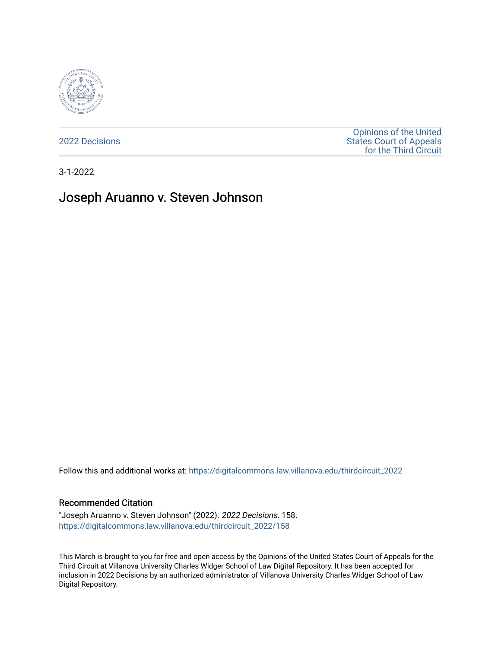

[2022 Decisions](https://digitalcommons.law.villanova.edu/thirdcircuit_2022)

[Opinions of the United](https://digitalcommons.law.villanova.edu/thirdcircuit)  [States Court of Appeals](https://digitalcommons.law.villanova.edu/thirdcircuit)  [for the Third Circuit](https://digitalcommons.law.villanova.edu/thirdcircuit) 

3-1-2022

# Joseph Aruanno v. Steven Johnson

Follow this and additional works at: [https://digitalcommons.law.villanova.edu/thirdcircuit\\_2022](https://digitalcommons.law.villanova.edu/thirdcircuit_2022?utm_source=digitalcommons.law.villanova.edu%2Fthirdcircuit_2022%2F158&utm_medium=PDF&utm_campaign=PDFCoverPages) 

#### Recommended Citation

"Joseph Aruanno v. Steven Johnson" (2022). 2022 Decisions. 158. [https://digitalcommons.law.villanova.edu/thirdcircuit\\_2022/158](https://digitalcommons.law.villanova.edu/thirdcircuit_2022/158?utm_source=digitalcommons.law.villanova.edu%2Fthirdcircuit_2022%2F158&utm_medium=PDF&utm_campaign=PDFCoverPages)

This March is brought to you for free and open access by the Opinions of the United States Court of Appeals for the Third Circuit at Villanova University Charles Widger School of Law Digital Repository. It has been accepted for inclusion in 2022 Decisions by an authorized administrator of Villanova University Charles Widger School of Law Digital Repository.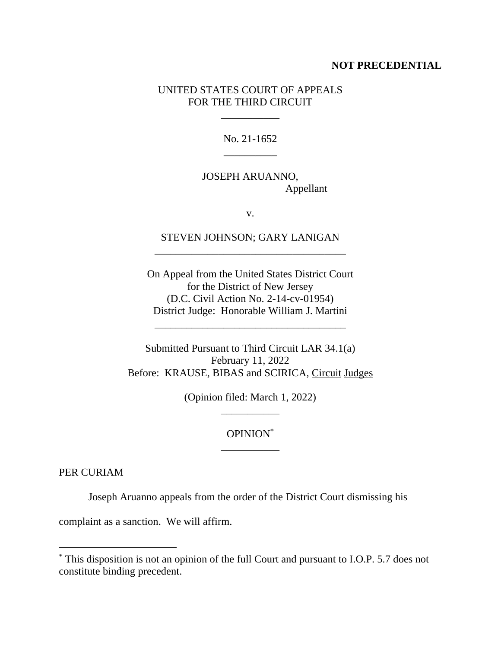#### **NOT PRECEDENTIAL**

### UNITED STATES COURT OF APPEALS FOR THE THIRD CIRCUIT

\_\_\_\_\_\_\_\_\_\_\_

No. 21-1652 \_\_\_\_\_\_\_\_\_\_

JOSEPH ARUANNO, Appellant

v.

STEVEN JOHNSON; GARY LANIGAN \_\_\_\_\_\_\_\_\_\_\_\_\_\_\_\_\_\_\_\_\_\_\_\_\_\_\_\_\_\_\_\_\_\_\_\_

On Appeal from the United States District Court for the District of New Jersey (D.C. Civil Action No. 2-14-cv-01954) District Judge: Honorable William J. Martini

\_\_\_\_\_\_\_\_\_\_\_\_\_\_\_\_\_\_\_\_\_\_\_\_\_\_\_\_\_\_\_\_\_\_\_\_

Submitted Pursuant to Third Circuit LAR 34.1(a) February 11, 2022 Before: KRAUSE, BIBAS and SCIRICA, Circuit Judges

> (Opinion filed: March 1, 2022) \_\_\_\_\_\_\_\_\_\_\_

# OPINION\* \_\_\_\_\_\_\_\_\_\_\_

PER CURIAM

Joseph Aruanno appeals from the order of the District Court dismissing his

complaint as a sanction. We will affirm.

<sup>\*</sup> This disposition is not an opinion of the full Court and pursuant to I.O.P. 5.7 does not constitute binding precedent.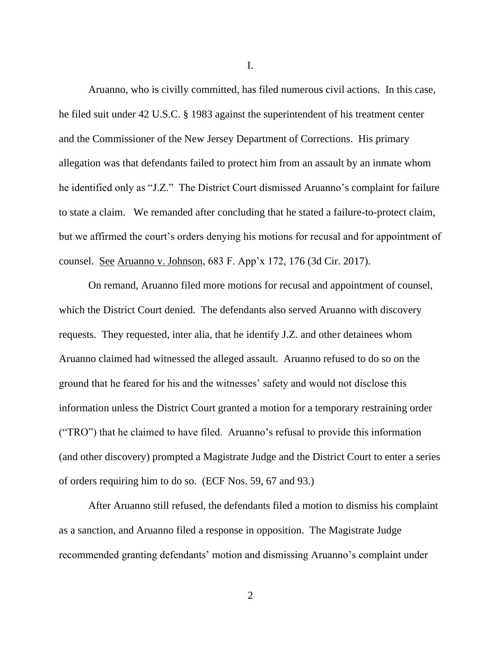Aruanno, who is civilly committed, has filed numerous civil actions. In this case, he filed suit under 42 U.S.C. § 1983 against the superintendent of his treatment center and the Commissioner of the New Jersey Department of Corrections. His primary allegation was that defendants failed to protect him from an assault by an inmate whom he identified only as "J.Z." The District Court dismissed Aruanno's complaint for failure to state a claim. We remanded after concluding that he stated a failure-to-protect claim, but we affirmed the court's orders denying his motions for recusal and for appointment of counsel. See Aruanno v. Johnson, 683 F. App'x 172, 176 (3d Cir. 2017).

On remand, Aruanno filed more motions for recusal and appointment of counsel, which the District Court denied. The defendants also served Aruanno with discovery requests. They requested, inter alia, that he identify J.Z. and other detainees whom Aruanno claimed had witnessed the alleged assault. Aruanno refused to do so on the ground that he feared for his and the witnesses' safety and would not disclose this information unless the District Court granted a motion for a temporary restraining order ("TRO") that he claimed to have filed. Aruanno's refusal to provide this information (and other discovery) prompted a Magistrate Judge and the District Court to enter a series of orders requiring him to do so. (ECF Nos. 59, 67 and 93.)

After Aruanno still refused, the defendants filed a motion to dismiss his complaint as a sanction, and Aruanno filed a response in opposition. The Magistrate Judge recommended granting defendants' motion and dismissing Aruanno's complaint under

I.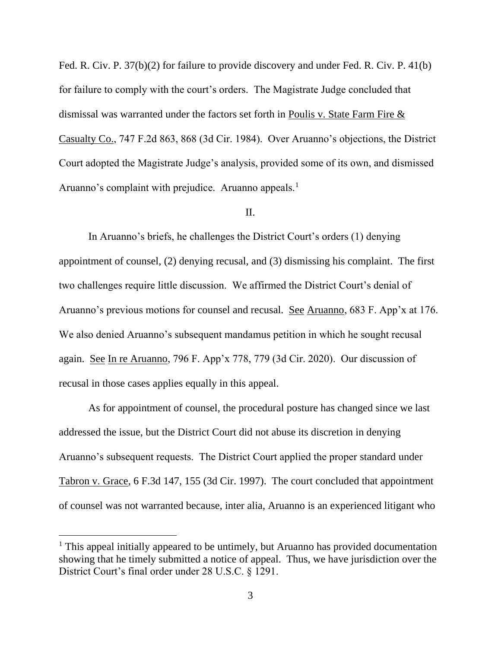Fed. R. Civ. P. 37(b)(2) for failure to provide discovery and under Fed. R. Civ. P. 41(b) for failure to comply with the court's orders. The Magistrate Judge concluded that dismissal was warranted under the factors set forth in Poulis v. State Farm Fire & Casualty Co., 747 F.2d 863, 868 (3d Cir. 1984). Over Aruanno's objections, the District Court adopted the Magistrate Judge's analysis, provided some of its own, and dismissed Aruanno's complaint with prejudice. Aruanno appeals.<sup>1</sup>

# II.

In Aruanno's briefs, he challenges the District Court's orders (1) denying appointment of counsel, (2) denying recusal, and (3) dismissing his complaint. The first two challenges require little discussion. We affirmed the District Court's denial of Aruanno's previous motions for counsel and recusal. See Aruanno, 683 F. App'x at 176. We also denied Aruanno's subsequent mandamus petition in which he sought recusal again. See In re Aruanno, 796 F. App'x 778, 779 (3d Cir. 2020). Our discussion of recusal in those cases applies equally in this appeal.

As for appointment of counsel, the procedural posture has changed since we last addressed the issue, but the District Court did not abuse its discretion in denying Aruanno's subsequent requests. The District Court applied the proper standard under Tabron v. Grace, 6 F.3d 147, 155 (3d Cir. 1997). The court concluded that appointment of counsel was not warranted because, inter alia, Aruanno is an experienced litigant who

<sup>&</sup>lt;sup>1</sup> This appeal initially appeared to be untimely, but Aruanno has provided documentation showing that he timely submitted a notice of appeal. Thus, we have jurisdiction over the District Court's final order under 28 U.S.C. § 1291.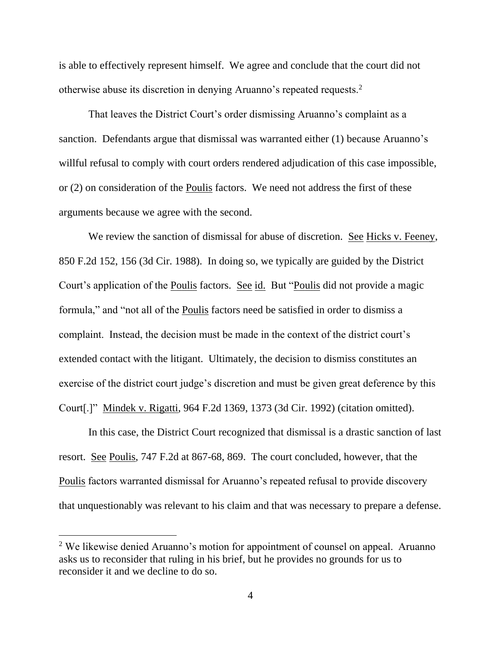is able to effectively represent himself. We agree and conclude that the court did not otherwise abuse its discretion in denying Aruanno's repeated requests.<sup>2</sup>

That leaves the District Court's order dismissing Aruanno's complaint as a sanction. Defendants argue that dismissal was warranted either (1) because Aruanno's willful refusal to comply with court orders rendered adjudication of this case impossible, or (2) on consideration of the Poulis factors. We need not address the first of these arguments because we agree with the second.

We review the sanction of dismissal for abuse of discretion. See Hicks v. Feeney, 850 F.2d 152, 156 (3d Cir. 1988). In doing so, we typically are guided by the District Court's application of the Poulis factors. See id. But "Poulis did not provide a magic formula," and "not all of the Poulis factors need be satisfied in order to dismiss a complaint. Instead, the decision must be made in the context of the district court's extended contact with the litigant. Ultimately, the decision to dismiss constitutes an exercise of the district court judge's discretion and must be given great deference by this Court[.]" Mindek v. Rigatti, 964 F.2d 1369, 1373 (3d Cir. 1992) (citation omitted).

In this case, the District Court recognized that dismissal is a drastic sanction of last resort. See Poulis, 747 F.2d at 867-68, 869. The court concluded, however, that the Poulis factors warranted dismissal for Aruanno's repeated refusal to provide discovery that unquestionably was relevant to his claim and that was necessary to prepare a defense.

<sup>&</sup>lt;sup>2</sup> We likewise denied Aruanno's motion for appointment of counsel on appeal. Aruanno asks us to reconsider that ruling in his brief, but he provides no grounds for us to reconsider it and we decline to do so.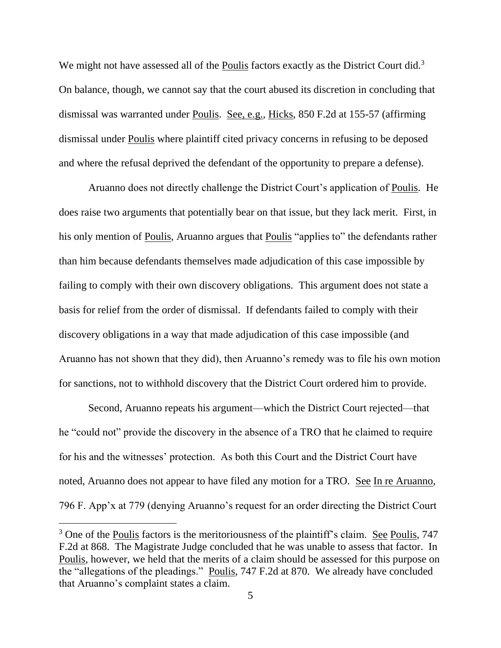We might not have assessed all of the Poulis factors exactly as the District Court did.<sup>3</sup> On balance, though, we cannot say that the court abused its discretion in concluding that dismissal was warranted under Poulis. See, e.g., Hicks, 850 F.2d at 155-57 (affirming dismissal under Poulis where plaintiff cited privacy concerns in refusing to be deposed and where the refusal deprived the defendant of the opportunity to prepare a defense).

Aruanno does not directly challenge the District Court's application of Poulis. He does raise two arguments that potentially bear on that issue, but they lack merit. First, in his only mention of Poulis, Aruanno argues that Poulis "applies to" the defendants rather than him because defendants themselves made adjudication of this case impossible by failing to comply with their own discovery obligations. This argument does not state a basis for relief from the order of dismissal. If defendants failed to comply with their discovery obligations in a way that made adjudication of this case impossible (and Aruanno has not shown that they did), then Aruanno's remedy was to file his own motion for sanctions, not to withhold discovery that the District Court ordered him to provide.

Second, Aruanno repeats his argument—which the District Court rejected—that he "could not" provide the discovery in the absence of a TRO that he claimed to require for his and the witnesses' protection. As both this Court and the District Court have noted, Aruanno does not appear to have filed any motion for a TRO. See In re Aruanno, 796 F. App'x at 779 (denying Aruanno's request for an order directing the District Court

 $3$  One of the Poulis factors is the meritoriousness of the plaintiff's claim. See Poulis, 747 F.2d at 868. The Magistrate Judge concluded that he was unable to assess that factor. In Poulis, however, we held that the merits of a claim should be assessed for this purpose on the "allegations of the pleadings." Poulis, 747 F.2d at 870. We already have concluded that Aruanno's complaint states a claim.